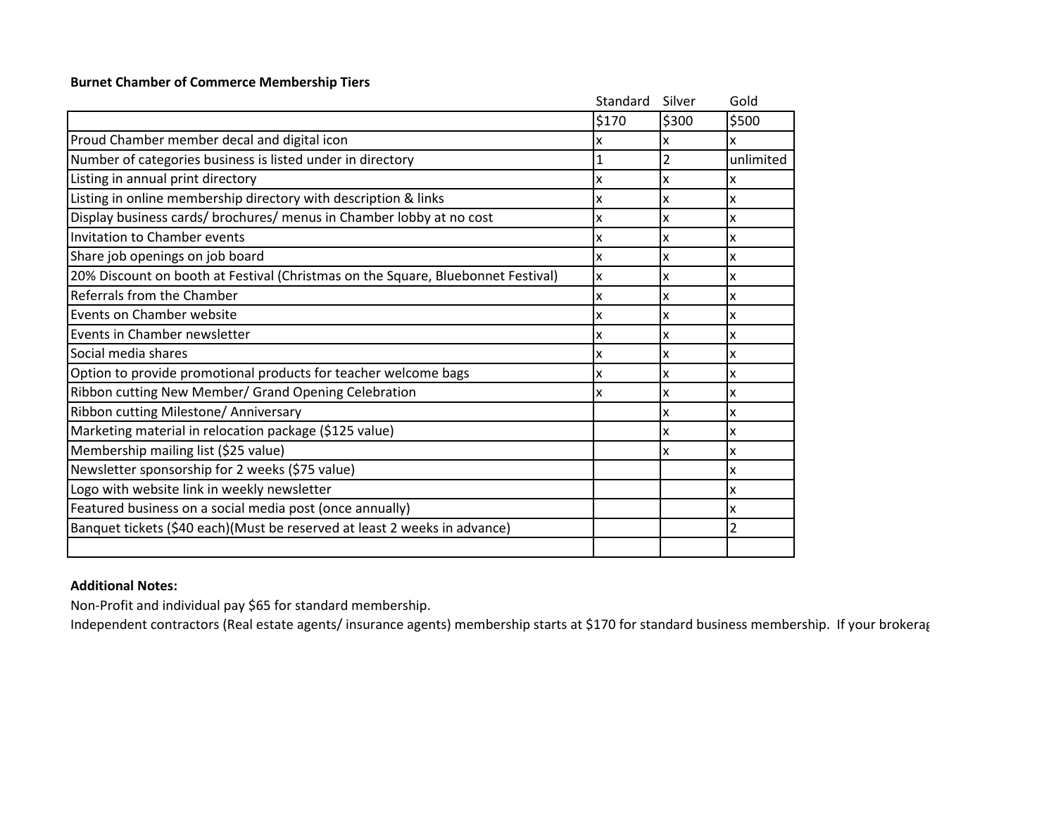## **Burnet Chamber of Commerce Membership Tiers**

|                                                                                  | Standard | Silver | Gold           |
|----------------------------------------------------------------------------------|----------|--------|----------------|
|                                                                                  | \$170    | \$300  | \$500          |
| Proud Chamber member decal and digital icon                                      | x        | x      | x              |
| Number of categories business is listed under in directory                       | 1        | 2      | unlimited      |
| Listing in annual print directory                                                | x        | x      | x              |
| Listing in online membership directory with description & links                  | X        | x      | X              |
| Display business cards/ brochures/ menus in Chamber lobby at no cost             | x        | x      | x              |
| Invitation to Chamber events                                                     | X        | x      | X              |
| Share job openings on job board                                                  | X        | X      | X              |
| 20% Discount on booth at Festival (Christmas on the Square, Bluebonnet Festival) | x        | x      | X              |
| Referrals from the Chamber                                                       | x        | x      | x              |
| Events on Chamber website                                                        | x        | X      | X              |
| Events in Chamber newsletter                                                     | X        | x      | X              |
| Social media shares                                                              | X        | x      | x              |
| Option to provide promotional products for teacher welcome bags                  | x        | X      | X              |
| Ribbon cutting New Member/ Grand Opening Celebration                             | X        | X      | X              |
| Ribbon cutting Milestone/ Anniversary                                            |          | X      | X              |
| Marketing material in relocation package (\$125 value)                           |          | x      | x              |
| Membership mailing list (\$25 value)                                             |          | x      | X              |
| Newsletter sponsorship for 2 weeks (\$75 value)                                  |          |        | X              |
| Logo with website link in weekly newsletter                                      |          |        | x              |
| Featured business on a social media post (once annually)                         |          |        | x              |
| Banquet tickets (\$40 each)(Must be reserved at least 2 weeks in advance)        |          |        | $\overline{2}$ |
|                                                                                  |          |        |                |

## **Additional Notes:**

Non-Profit and individual pay \$65 for standard membership.

Independent contractors (Real estate agents/ insurance agents) membership starts at \$170 for standard business membership. If your brokerag